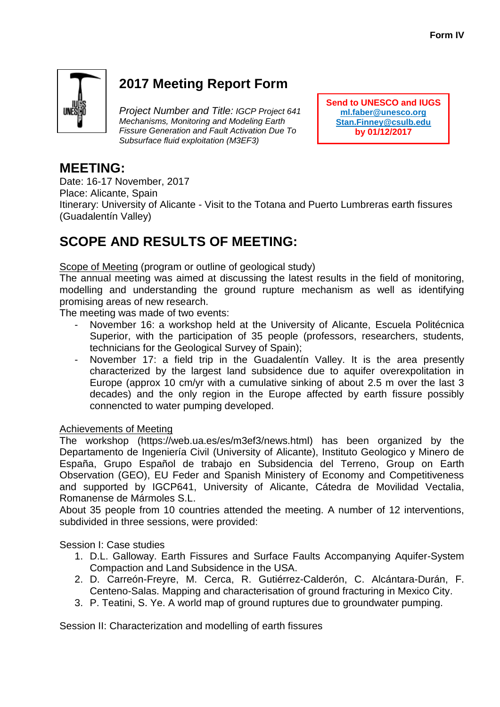

# **2017 Meeting Report Form**

*Project Number and Title: IGCP Project 641 Mechanisms, Monitoring and Modeling Earth Fissure Generation and Fault Activation Due To Subsurface fluid exploitation (M3EF3)*

**Send to UNESCO and IUGS [ml.faber@unesco.org](mailto:ml.faber@unesco.org) Stan.Finney@csulb.edu by 01/12/2017**

## **MEETING:**

Date: 16-17 November, 2017

Place: Alicante, Spain

Itinerary: University of Alicante - Visit to the Totana and Puerto Lumbreras earth fissures (Guadalentín Valley)

## **SCOPE AND RESULTS OF MEETING:**

Scope of Meeting (program or outline of geological study)

The annual meeting was aimed at discussing the latest results in the field of monitoring, modelling and understanding the ground rupture mechanism as well as identifying promising areas of new research.

The meeting was made of two events:

- November 16: a workshop held at the University of Alicante, Escuela Politécnica Superior, with the participation of 35 people (professors, researchers, students, technicians for the Geological Survey of Spain);
- November 17: a field trip in the Guadalentín Valley. It is the area presently characterized by the largest land subsidence due to aquifer overexpolitation in Europe (approx 10 cm/yr with a cumulative sinking of about 2.5 m over the last 3 decades) and the only region in the Europe affected by earth fissure possibly connencted to water pumping developed.

### Achievements of Meeting

The workshop (https://web.ua.es/es/m3ef3/news.html) has been organized by the Departamento de Ingeniería Civil (University of Alicante), Instituto Geologico y Minero de España, Grupo Español de trabajo en Subsidencia del Terreno, Group on Earth Observation (GEO), EU Feder and Spanish Ministery of Economy and Competitiveness and supported by IGCP641, University of Alicante, Cátedra de Movilidad Vectalia, Romanense de Mármoles S.L.

About 35 people from 10 countries attended the meeting. A number of 12 interventions, subdivided in three sessions, were provided:

Session I: Case studies

- 1. D.L. Galloway. Earth Fissures and Surface Faults Accompanying Aquifer-System Compaction and Land Subsidence in the USA.
- 2. D. Carreón-Freyre, M. Cerca, R. Gutiérrez-Calderón, C. Alcántara-Durán, F. Centeno-Salas. Mapping and characterisation of ground fracturing in Mexico City.
- 3. P. Teatini, S. Ye. A world map of ground ruptures due to groundwater pumping.

Session II: Characterization and modelling of earth fissures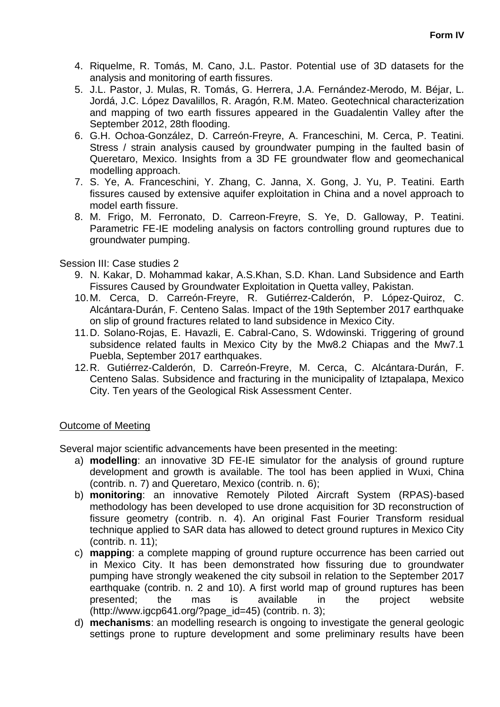- 4. Riquelme, R. Tomás, M. Cano, J.L. Pastor. Potential use of 3D datasets for the analysis and monitoring of earth fissures.
- 5. J.L. Pastor, J. Mulas, R. Tomás, G. Herrera, J.A. Fernández-Merodo, M. Béjar, L. Jordá, J.C. López Davalillos, R. Aragón, R.M. Mateo. Geotechnical characterization and mapping of two earth fissures appeared in the Guadalentin Valley after the September 2012, 28th flooding.
- 6. G.H. Ochoa-González, D. Carreón-Freyre, A. Franceschini, M. Cerca, P. Teatini. Stress / strain analysis caused by groundwater pumping in the faulted basin of Queretaro, Mexico. Insights from a 3D FE groundwater flow and geomechanical modelling approach.
- 7. S. Ye, A. Franceschini, Y. Zhang, C. Janna, X. Gong, J. Yu, P. Teatini. Earth fissures caused by extensive aquifer exploitation in China and a novel approach to model earth fissure.
- 8. M. Frigo, M. Ferronato, D. Carreon-Freyre, S. Ye, D. Galloway, P. Teatini. Parametric FE-IE modeling analysis on factors controlling ground ruptures due to groundwater pumping.

#### Session III: Case studies 2

- 9. N. Kakar, D. Mohammad kakar, A.S.Khan, S.D. Khan. Land Subsidence and Earth Fissures Caused by Groundwater Exploitation in Quetta valley, Pakistan.
- 10.M. Cerca, D. Carreón-Freyre, R. Gutiérrez-Calderón, P. López-Quiroz, C. Alcántara-Durán, F. Centeno Salas. Impact of the 19th September 2017 earthquake on slip of ground fractures related to land subsidence in Mexico City.
- 11.D. Solano-Rojas, E. Havazli, E. Cabral-Cano, S. Wdowinski. Triggering of ground subsidence related faults in Mexico City by the Mw8.2 Chiapas and the Mw7.1 Puebla, September 2017 earthquakes.
- 12.R. Gutiérrez-Calderón, D. Carreón-Freyre, M. Cerca, C. Alcántara-Durán, F. Centeno Salas. Subsidence and fracturing in the municipality of Iztapalapa, Mexico City. Ten years of the Geological Risk Assessment Center.

#### Outcome of Meeting

Several major scientific advancements have been presented in the meeting:

- a) **modelling**: an innovative 3D FE-IE simulator for the analysis of ground rupture development and growth is available. The tool has been applied in Wuxi, China (contrib. n. 7) and Queretaro, Mexico (contrib. n. 6);
- b) **monitoring**: an innovative Remotely Piloted Aircraft System (RPAS)-based methodology has been developed to use drone acquisition for 3D reconstruction of fissure geometry (contrib. n. 4). An original Fast Fourier Transform residual technique applied to SAR data has allowed to detect ground ruptures in Mexico City (contrib. n. 11);
- c) **mapping**: a complete mapping of ground rupture occurrence has been carried out in Mexico City. It has been demonstrated how fissuring due to groundwater pumping have strongly weakened the city subsoil in relation to the September 2017 earthquake (contrib. n. 2 and 10). A first world map of ground ruptures has been presented; the mas is available in the project website  $(http://www.iqcp641.org/space_id=45)$  (contrib. n. 3);
- d) **mechanisms**: an modelling research is ongoing to investigate the general geologic settings prone to rupture development and some preliminary results have been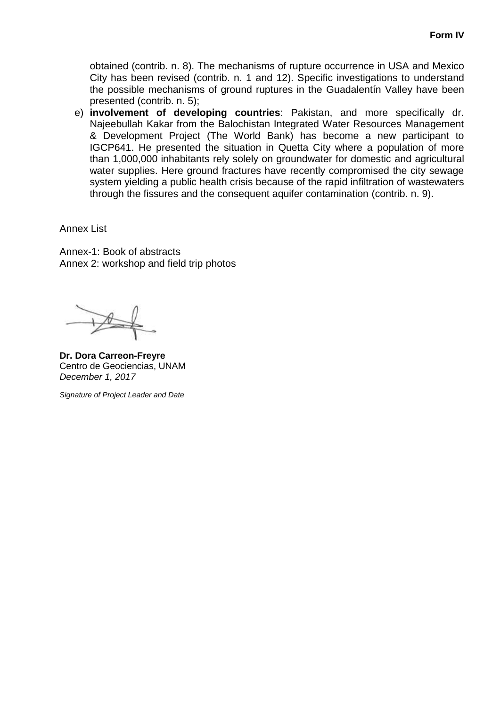obtained (contrib. n. 8). The mechanisms of rupture occurrence in USA and Mexico City has been revised (contrib. n. 1 and 12). Specific investigations to understand the possible mechanisms of ground ruptures in the Guadalentín Valley have been presented (contrib. n. 5);

e) **involvement of developing countries**: Pakistan, and more specifically dr. Najeebullah Kakar from the Balochistan Integrated Water Resources Management & Development Project (The World Bank) has become a new participant to IGCP641. He presented the situation in Quetta City where a population of more than 1,000,000 inhabitants rely solely on groundwater for domestic and agricultural water supplies. Here ground fractures have recently compromised the city sewage system yielding a public health crisis because of the rapid infiltration of wastewaters through the fissures and the consequent aquifer contamination (contrib. n. 9).

Annex List

Annex-1: Book of abstracts Annex 2: workshop and field trip photos

 $\rightarrow$ 

**Dr. Dora Carreon-Freyre** Centro de Geociencias, UNAM *December 1, 2017*

*Signature of Project Leader and Date*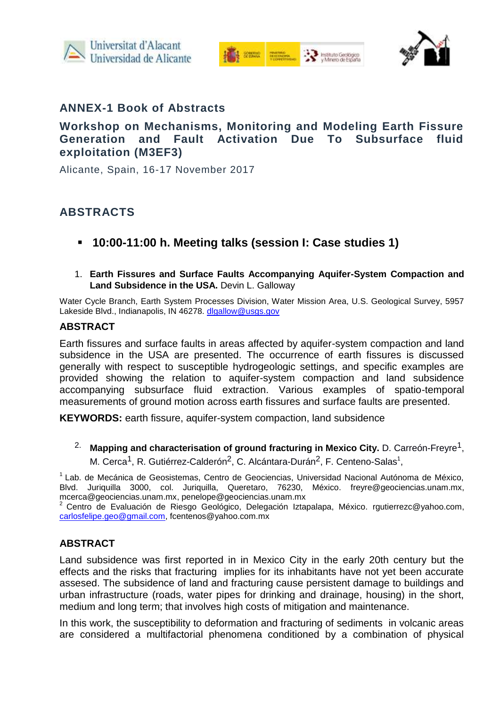





## **ANNEX-1 Book of Abstracts**

## **Workshop on Mechanisms, Monitoring and Modeling Earth Fissure Generation and Fault Activation Due To Subsurface fluid exploitation (M3EF3)**

Alicante, Spain, 16-17 November 2017

## **ABSTRACTS**

- **10:00-11:00 h. Meeting talks (session I: Case studies 1)**
- 1. **Earth Fissures and Surface Faults Accompanying Aquifer-System Compaction and Land Subsidence in the USA.** Devin L. Galloway

Water Cycle Branch, Earth System Processes Division, Water Mission Area, U.S. Geological Survey, 5957 Lakeside Blvd., Indianapolis, IN 46278. [dlgallow@usgs.gov](mailto:dlgallow@usgs.gov)

#### **ABSTRACT**

Earth fissures and surface faults in areas affected by aquifer-system compaction and land subsidence in the USA are presented. The occurrence of earth fissures is discussed generally with respect to susceptible hydrogeologic settings, and specific examples are provided showing the relation to aquifer-system compaction and land subsidence accompanying subsurface fluid extraction. Various examples of spatio-temporal measurements of ground motion across earth fissures and surface faults are presented.

**KEYWORDS:** earth fissure, aquifer-system compaction, land subsidence

<sup>2.</sup> Mapping and characterisation of ground fracturing in Mexico City. D. Carreón-Freyre<sup>1</sup>, M. Cerca<sup>1</sup>, R. Gutiérrez-Calderón<sup>2</sup>, C. Alcántara-Durán<sup>2</sup>, F. Centeno-Salas<sup>1</sup>,

 $<sup>1</sup>$  Lab. de Mecánica de Geosistemas, Centro de Geociencias, Universidad Nacional Autónoma de México,</sup> Blvd. Juriquilla 3000, col. Juriquilla, Queretaro, 76230, México. [freyre@geociencias.unam.mx,](mailto:freyre@geociencias.unam.mx) [mcerca@geociencias.unam.mx,](mailto:mcerca@geociencias.unam.mx) penelope@geociencias.unam.mx

<sup>2</sup> Centro de Evaluación de Riesgo Geológico, Delegación Iztapalapa, México. [rgutierrezc@yahoo.com,](mailto:rgutierrezc@yahoo.com) [carlosfelipe.geo@gmail.com,](mailto:carlosfelipe.geo@gmail.com) fcentenos@yahoo.com.mx

### **ABSTRACT**

Land subsidence was first reported in in Mexico City in the early 20th century but the effects and the risks that fracturing implies for its inhabitants have not yet been accurate assesed. The subsidence of land and fracturing cause persistent damage to buildings and urban infrastructure (roads, water pipes for drinking and drainage, housing) in the short, medium and long term; that involves high costs of mitigation and maintenance.

In this work, the susceptibility to deformation and fracturing of sediments in volcanic areas are considered a multifactorial phenomena conditioned by a combination of physical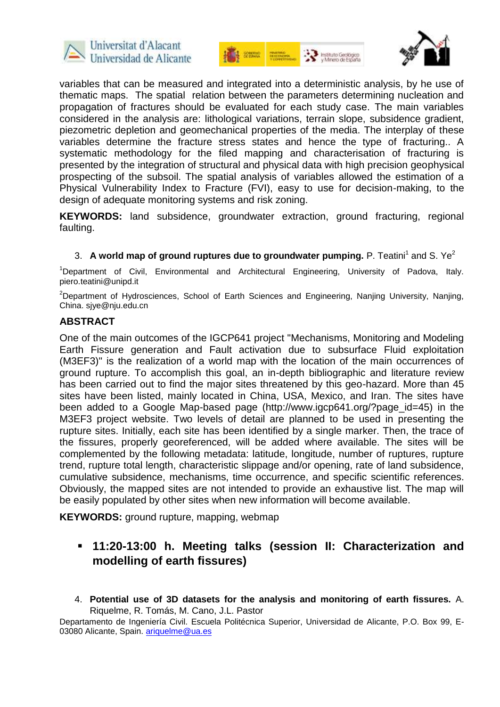





variables that can be measured and integrated into a deterministic analysis, by he use of thematic maps. The spatial relation between the parameters determining nucleation and propagation of fractures should be evaluated for each study case. The main variables considered in the analysis are: lithological variations, terrain slope, subsidence gradient, piezometric depletion and geomechanical properties of the media. The interplay of these variables determine the fracture stress states and hence the type of fracturing.. A systematic methodology for the filed mapping and characterisation of fracturing is presented by the integration of structural and physical data with high precision geophysical prospecting of the subsoil. The spatial analysis of variables allowed the estimation of a Physical Vulnerability Index to Fracture (FVI), easy to use for decision-making, to the design of adequate monitoring systems and risk zoning.

**KEYWORDS:** land subsidence, groundwater extraction, ground fracturing, regional faulting.

3. A world map of ground ruptures due to groundwater pumping. P. Teatini<sup>1</sup> and S. Ye<sup>2</sup>

<sup>1</sup>Department of Civil, Environmental and Architectural Engineering, University of Padova, Italy. piero.teatini@unipd.it

<sup>2</sup>Department of Hydrosciences, School of Earth Sciences and Engineering, Nanjing University, Nanjing, China. sjye@nju.edu.cn

#### **ABSTRACT**

One of the main outcomes of the IGCP641 project "Mechanisms, Monitoring and Modeling Earth Fissure generation and Fault activation due to subsurface Fluid exploitation (M3EF3)" is the realization of a world map with the location of the main occurrences of ground rupture. To accomplish this goal, an in-depth bibliographic and literature review has been carried out to find the major sites threatened by this geo-hazard. More than 45 sites have been listed, mainly located in China, USA, Mexico, and Iran. The sites have been added to a Google Map-based page (http://www.igcp641.org/?page id=45) in the M3EF3 project website. Two levels of detail are planned to be used in presenting the rupture sites. Initially, each site has been identified by a single marker. Then, the trace of the fissures, properly georeferenced, will be added where available. The sites will be complemented by the following metadata: latitude, longitude, number of ruptures, rupture trend, rupture total length, characteristic slippage and/or opening, rate of land subsidence, cumulative subsidence, mechanisms, time occurrence, and specific scientific references. Obviously, the mapped sites are not intended to provide an exhaustive list. The map will be easily populated by other sites when new information will become available.

**KEYWORDS:** ground rupture, mapping, webmap

## **11:20-13:00 h. Meeting talks (session II: Characterization and modelling of earth fissures)**

4. **Potential use of 3D datasets for the analysis and monitoring of earth fissures.** A. Riquelme, R. Tomás, M. Cano, J.L. Pastor

Departamento de Ingeniería Civil. Escuela Politécnica Superior, Universidad de Alicante, P.O. Box 99, E03080 Alicante, Spain. [ariquelme@ua.es](mailto:ariquelme@ua.es)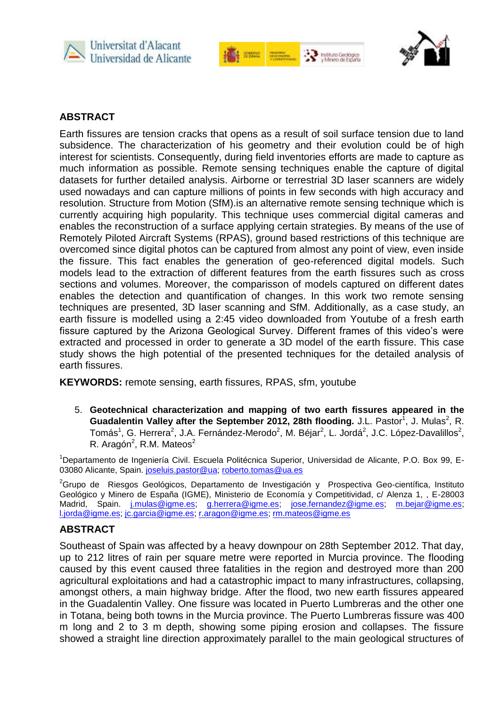





## **ABSTRACT**

Earth fissures are tension cracks that opens as a result of soil surface tension due to land subsidence. The characterization of his geometry and their evolution could be of high interest for scientists. Consequently, during field inventories efforts are made to capture as much information as possible. Remote sensing techniques enable the capture of digital datasets for further detailed analysis. Airborne or terrestrial 3D laser scanners are widely used nowadays and can capture millions of points in few seconds with high accuracy and resolution. Structure from Motion (SfM).is an alternative remote sensing technique which is currently acquiring high popularity. This technique uses commercial digital cameras and enables the reconstruction of a surface applying certain strategies. By means of the use of Remotely Piloted Aircraft Systems (RPAS), ground based restrictions of this technique are overcomed since digital photos can be captured from almost any point of view, even inside the fissure. This fact enables the generation of geo-referenced digital models. Such models lead to the extraction of different features from the earth fissures such as cross sections and volumes. Moreover, the comparisson of models captured on different dates enables the detection and quantification of changes. In this work two remote sensing techniques are presented, 3D laser scanning and SfM. Additionally, as a case study, an earth fissure is modelled using a 2:45 video downloaded from Youtube of a fresh earth fissure captured by the Arizona Geological Survey. Different frames of this video's were extracted and processed in order to generate a 3D model of the earth fissure. This case study shows the high potential of the presented techniques for the detailed analysis of earth fissures.

**KEYWORDS:** remote sensing, earth fissures, RPAS, sfm, youtube

5. **Geotechnical characterization and mapping of two earth fissures appeared in the**  Guadalentin Valley after the September 2012, 28th flooding. J.L. Pastor<sup>1</sup>, J. Mulas<sup>2</sup>, R. Tomás<sup>1</sup>, G. Herrera<sup>2</sup>, J.A. Fernández-Merodo<sup>2</sup>, M. Béjar<sup>2</sup>, L. Jordá<sup>2</sup>, J.C. López-Davalillos<sup>2</sup>, R. Aragón<sup>2</sup>, R.M. Mateos<sup>2</sup>

<sup>1</sup>Departamento de Ingeniería Civil. Escuela Politécnica Superior, Universidad de Alicante, P.O. Box 99, E03080 Alicante, Spain. [joseluis.pastor@ua;](mailto:joseluis.pastor@ua) [roberto.tomas@ua.es](mailto:roberto.tomas@ua.es)

 ${}^{2}$ Grupo de Riesgos Geológicos, Departamento de Investigación y Prospectiva Geo-científica, Instituto Geológico y Minero de España (IGME), Ministerio de Economía y Competitividad, c/ Alenza 1, , E-28003 Madrid, Spain. j.mulas@igme.es, [g.herrera@igme.es;](mailto:g.herrera@igme.es) [jose.fernandez@igme.es;](mailto:jose.fernandez@igme.es) [m.bejar@igme.es;](mailto:m.bejar@igme.es) [l.jorda@igme.es;](mailto:l.jorda@igme.es) [jc.garcia@igme.es;](mailto:jc.garcia@igme.es) [r.aragon@igme.es;](mailto:r.aragon@igme.es) [rm.mateos@igme.es](mailto:rm.mateos@igme.es)

#### **ABSTRACT**

Southeast of Spain was affected by a heavy downpour on 28th September 2012. That day, up to 212 litres of rain per square metre were reported in Murcia province. The flooding caused by this event caused three fatalities in the region and destroyed more than 200 agricultural exploitations and had a catastrophic impact to many infrastructures, collapsing, amongst others, a main highway bridge. After the flood, two new earth fissures appeared in the Guadalentin Valley. One fissure was located in Puerto Lumbreras and the other one in Totana, being both towns in the Murcia province. The Puerto Lumbreras fissure was 400 m long and 2 to 3 m depth, showing some piping erosion and collapses. The fissure showed a straight line direction approximately parallel to the main geological structures of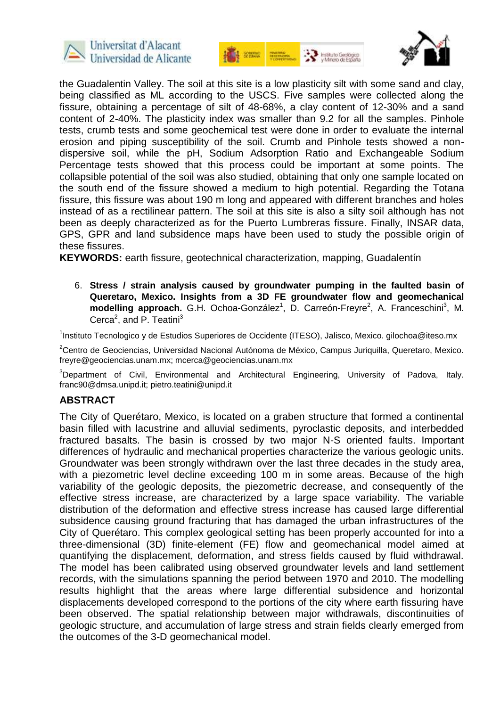





the Guadalentin Valley. The soil at this site is a low plasticity silt with some sand and clay, being classified as ML according to the USCS. Five samples were collected along the fissure, obtaining a percentage of silt of 48-68%, a clay content of 12-30% and a sand content of 2-40%. The plasticity index was smaller than 9.2 for all the samples. Pinhole tests, crumb tests and some geochemical test were done in order to evaluate the internal erosion and piping susceptibility of the soil. Crumb and Pinhole tests showed a nondispersive soil, while the pH, Sodium Adsorption Ratio and Exchangeable Sodium Percentage tests showed that this process could be important at some points. The collapsible potential of the soil was also studied, obtaining that only one sample located on the south end of the fissure showed a medium to high potential. Regarding the Totana fissure, this fissure was about 190 m long and appeared with different branches and holes instead of as a rectilinear pattern. The soil at this site is also a silty soil although has not been as deeply characterized as for the Puerto Lumbreras fissure. Finally, INSAR data, GPS, GPR and land subsidence maps have been used to study the possible origin of these fissures.

**KEYWORDS:** earth fissure, geotechnical characterization, mapping, Guadalentín

6. **Stress / strain analysis caused by groundwater pumping in the faulted basin of Queretaro, Mexico. Insights from a 3D FE groundwater flow and geomechanical**  modelling approach. G.H. Ochoa-González<sup>1</sup>, D. Carreón-Freyre<sup>2</sup>, A. Franceschini<sup>3</sup>, M. Cerca<sup>2</sup>, and P. Teatini<sup>3</sup>

<sup>1</sup>Instituto Tecnologico y de Estudios Superiores de Occidente (ITESO), Jalisco, Mexico. gilochoa@iteso.mx

<sup>2</sup>Centro de Geociencias, Universidad Nacional Autónoma de México, Campus Juriquilla, Queretaro, Mexico. freyre@geociencias.unam.mx; mcerca@geociencias.unam.mx

<sup>3</sup>Department of Civil, Environmental and Architectural Engineering, University of Padova, Italy. franc90@dmsa.unipd.it; pietro.teatini@unipd.it

#### **ABSTRACT**

The City of Querétaro, Mexico, is located on a graben structure that formed a continental basin filled with lacustrine and alluvial sediments, pyroclastic deposits, and interbedded fractured basalts. The basin is crossed by two major N-S oriented faults. Important differences of hydraulic and mechanical properties characterize the various geologic units. Groundwater was been strongly withdrawn over the last three decades in the study area, with a piezometric level decline exceeding 100 m in some areas. Because of the high variability of the geologic deposits, the piezometric decrease, and consequently of the effective stress increase, are characterized by a large space variability. The variable distribution of the deformation and effective stress increase has caused large differential subsidence causing ground fracturing that has damaged the urban infrastructures of the City of Querétaro. This complex geological setting has been properly accounted for into a three-dimensional (3D) finite-element (FE) flow and geomechanical model aimed at quantifying the displacement, deformation, and stress fields caused by fluid withdrawal. The model has been calibrated using observed groundwater levels and land settlement records, with the simulations spanning the period between 1970 and 2010. The modelling results highlight that the areas where large differential subsidence and horizontal displacements developed correspond to the portions of the city where earth fissuring have been observed. The spatial relationship between major withdrawals, discontinuities of geologic structure, and accumulation of large stress and strain fields clearly emerged from the outcomes of the 3-D geomechanical model.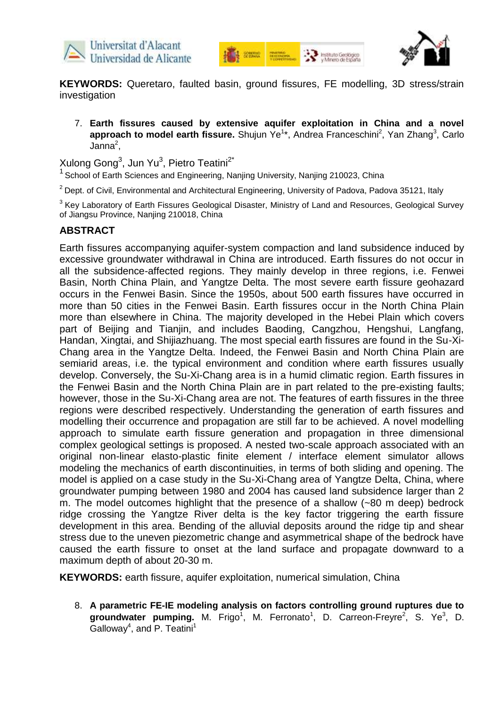





**KEYWORDS:** Queretaro, faulted basin, ground fissures, FE modelling, 3D stress/strain investigation

7. **Earth fissures caused by extensive aquifer exploitation in China and a novel**  approach to model earth fissure. Shujun Ye<sup>1\*</sup>, Andrea Franceschini<sup>2</sup>, Yan Zhang<sup>3</sup>, Carlo  $Janna<sup>2</sup>$ ,

Xulong Gong $^3$ , Jun Yu $^3$ , Pietro Teatini $^{2^{\star}}$ 

<sup>1</sup> School of Earth Sciences and Engineering, Nanjing University, Nanjing 210023, China

 $2$  Dept. of Civil, Environmental and Architectural Engineering, University of Padova, Padova 35121, Italy

 $3$  Key Laboratory of Earth Fissures Geological Disaster, Ministry of Land and Resources, Geological Survey of Jiangsu Province, Nanjing 210018, China

#### **ABSTRACT**

Earth fissures accompanying aquifer-system compaction and land subsidence induced by excessive groundwater withdrawal in China are introduced. Earth fissures do not occur in all the subsidence-affected regions. They mainly develop in three regions, i.e. Fenwei Basin, North China Plain, and Yangtze Delta. The most severe earth fissure geohazard occurs in the Fenwei Basin. Since the 1950s, about 500 earth fissures have occurred in more than 50 cities in the Fenwei Basin. Earth fissures occur in the North China Plain more than elsewhere in China. The majority developed in the Hebei Plain which covers part of Beijing and Tianjin, and includes Baoding, Cangzhou, Hengshui, Langfang, Handan, Xingtai, and Shijiazhuang. The most special earth fissures are found in the Su-Xi-Chang area in the Yangtze Delta. Indeed, the Fenwei Basin and North China Plain are semiarid areas, i.e. the typical environment and condition where earth fissures usually develop. Conversely, the Su-Xi-Chang area is in a humid climatic region. Earth fissures in the Fenwei Basin and the North China Plain are in part related to the pre-existing faults; however, those in the Su-Xi-Chang area are not. The features of earth fissures in the three regions were described respectively. Understanding the generation of earth fissures and modelling their occurrence and propagation are still far to be achieved. A novel modelling approach to simulate earth fissure generation and propagation in three dimensional complex geological settings is proposed. A nested two-scale approach associated with an original non-linear elasto-plastic finite element / interface element simulator allows modeling the mechanics of earth discontinuities, in terms of both sliding and opening. The model is applied on a case study in the Su-Xi-Chang area of Yangtze Delta, China, where groundwater pumping between 1980 and 2004 has caused land subsidence larger than 2 m. The model outcomes highlight that the presence of a shallow (~80 m deep) bedrock ridge crossing the Yangtze River delta is the key factor triggering the earth fissure development in this area. Bending of the alluvial deposits around the ridge tip and shear stress due to the uneven piezometric change and asymmetrical shape of the bedrock have caused the earth fissure to onset at the land surface and propagate downward to a maximum depth of about 20-30 m.

**KEYWORDS:** earth fissure, aquifer exploitation, numerical simulation, China

8. **A parametric FE-IE modeling analysis on factors controlling ground ruptures due to**  groundwater pumping. M. Frigo<sup>1</sup>, M. Ferronato<sup>1</sup>, D. Carreon-Freyre<sup>2</sup>, S. Ye<sup>3</sup>, D. Galloway<sup>4</sup>, and P. Teatini<sup>1</sup>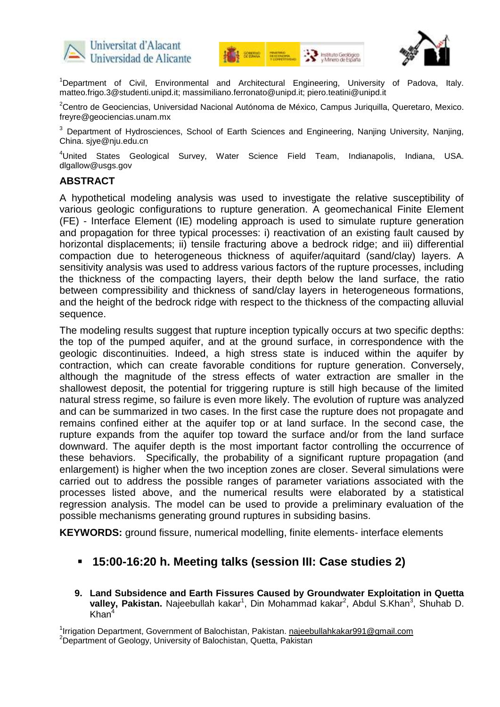





<sup>1</sup>Department of Civil, Environmental and Architectural Engineering, University of Padova, Italy. matteo.frigo.3@studenti.unipd.it; massimiliano.ferronato@unipd.it; piero.teatini@unipd.it

<sup>2</sup>Centro de Geociencias, Universidad Nacional Autónoma de México, Campus Juriquilla, Queretaro, Mexico. freyre@geociencias.unam.mx

<sup>3</sup> Department of Hydrosciences, School of Earth Sciences and Engineering, Nanjing University, Nanjing, China. sjye@nju.edu.cn

<sup>4</sup>United States Geological Survey, Water Science Field Team, Indianapolis, Indiana, USA. dlgallow@usgs.gov

#### **ABSTRACT**

A hypothetical modeling analysis was used to investigate the relative susceptibility of various geologic configurations to rupture generation. A geomechanical Finite Element (FE) - Interface Element (IE) modeling approach is used to simulate rupture generation and propagation for three typical processes: i) reactivation of an existing fault caused by horizontal displacements; ii) tensile fracturing above a bedrock ridge; and iii) differential compaction due to heterogeneous thickness of aquifer/aquitard (sand/clay) layers. A sensitivity analysis was used to address various factors of the rupture processes, including the thickness of the compacting layers, their depth below the land surface, the ratio between compressibility and thickness of sand/clay layers in heterogeneous formations, and the height of the bedrock ridge with respect to the thickness of the compacting alluvial sequence.

The modeling results suggest that rupture inception typically occurs at two specific depths: the top of the pumped aquifer, and at the ground surface, in correspondence with the geologic discontinuities. Indeed, a high stress state is induced within the aquifer by contraction, which can create favorable conditions for rupture generation. Conversely, although the magnitude of the stress effects of water extraction are smaller in the shallowest deposit, the potential for triggering rupture is still high because of the limited natural stress regime, so failure is even more likely. The evolution of rupture was analyzed and can be summarized in two cases. In the first case the rupture does not propagate and remains confined either at the aquifer top or at land surface. In the second case, the rupture expands from the aquifer top toward the surface and/or from the land surface downward. The aquifer depth is the most important factor controlling the occurrence of these behaviors. Specifically, the probability of a significant rupture propagation (and enlargement) is higher when the two inception zones are closer. Several simulations were carried out to address the possible ranges of parameter variations associated with the processes listed above, and the numerical results were elaborated by a statistical regression analysis. The model can be used to provide a preliminary evaluation of the possible mechanisms generating ground ruptures in subsiding basins.

**KEYWORDS:** ground fissure, numerical modelling, finite elements- interface elements

### **15:00-16:20 h. Meeting talks (session III: Case studies 2)**

**9. Land Subsidence and Earth Fissures Caused by Groundwater Exploitation in Quetta**  valley, Pakistan. Najeebullah kakar<sup>1</sup>, Din Mohammad kakar<sup>2</sup>, Abdul S.Khan<sup>3</sup>, Shuhab D.  $Khan<sup>4</sup>$ 

<sup>1</sup>Irrigation Department, Government of Balochistan, Pakistan. najeebullahkakar991@gmail.com <sup>2</sup>Department of Geology, University of Balochistan, Quetta, Pakistan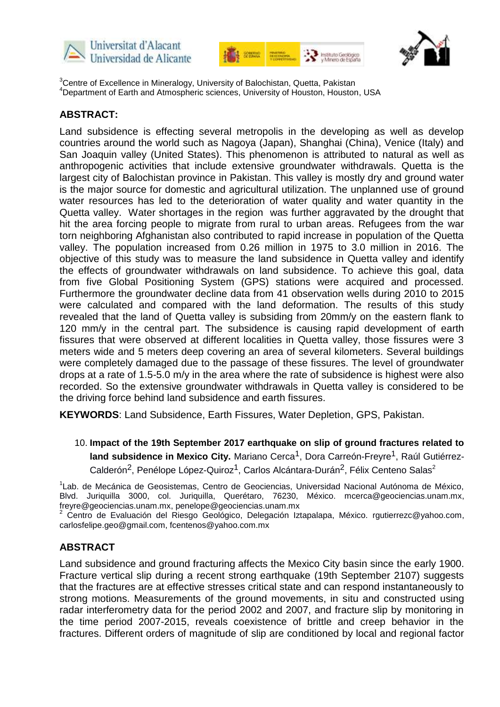





<sup>3</sup>Centre of Excellence in Mineralogy, University of Balochistan, Quetta, Pakistan <sup>4</sup>Department of Earth and Atmospheric sciences, University of Houston, Houston, USA

#### **ABSTRACT:**

Land subsidence is effecting several metropolis in the developing as well as develop countries around the world such as Nagoya (Japan), Shanghai (China), Venice (Italy) and San Joaquin valley (United States). This phenomenon is attributed to natural as well as anthropogenic activities that include extensive groundwater withdrawals. Quetta is the largest city of Balochistan province in Pakistan. This valley is mostly dry and ground water is the major source for domestic and agricultural utilization. The unplanned use of ground water resources has led to the deterioration of water quality and water quantity in the Quetta valley. Water shortages in the region was further aggravated by the drought that hit the area forcing people to migrate from rural to urban areas. Refugees from the war torn neighboring Afghanistan also contributed to rapid increase in population of the Quetta valley. The population increased from 0.26 million in 1975 to 3.0 million in 2016. The objective of this study was to measure the land subsidence in Quetta valley and identify the effects of groundwater withdrawals on land subsidence. To achieve this goal, data from five Global Positioning System (GPS) stations were acquired and processed. Furthermore the groundwater decline data from 41 observation wells during 2010 to 2015 were calculated and compared with the land deformation. The results of this study revealed that the land of Quetta valley is subsiding from 20mm/y on the eastern flank to 120 mm/y in the central part. The subsidence is causing rapid development of earth fissures that were observed at different localities in Quetta valley, those fissures were 3 meters wide and 5 meters deep covering an area of several kilometers. Several buildings were completely damaged due to the passage of these fissures. The level of groundwater drops at a rate of 1.5-5.0 m/y in the area where the rate of subsidence is highest were also recorded. So the extensive groundwater withdrawals in Quetta valley is considered to be the driving force behind land subsidence and earth fissures.

**KEYWORDS**: Land Subsidence, Earth Fissures, Water Depletion, GPS, Pakistan.

10. **Impact of the 19th September 2017 earthquake on slip of ground fractures related to**  land subsidence in Mexico City. Mariano Cerca<sup>1</sup>, Dora Carreón-Freyre<sup>1</sup>, Raúl Gutiérrez-Calderón<sup>2</sup>, Penélope López-Quiroz<sup>1</sup>, Carlos Alcántara-Durán<sup>2</sup>, Félix Centeno Salas<sup>2</sup>

<sup>1</sup>Lab. de Mecánica de Geosistemas, Centro de Geociencias, Universidad Nacional Autónoma de México, Blvd. Juriquilla 3000, col. Juriquilla, Querétaro, 76230, México. [mcerca@geociencias.unam.mx,](mailto:mcerca@geociencias.unam.mx) [freyre@geociencias.unam.mx,](mailto:freyre@geociencias.unam.mx) penelope@geociencias.unam.mx

<sup>2</sup> Centro de Evaluación del Riesgo Geológico, Delegación Iztapalapa, México. [rgutierrezc@yahoo.com,](mailto:rgutierrezc@yahoo.com)  carlosfelipe.geo@gmail.com, fcentenos@yahoo.com.mx

### **ABSTRACT**

Land subsidence and ground fracturing affects the Mexico City basin since the early 1900. Fracture vertical slip during a recent strong earthquake (19th September 2107) suggests that the fractures are at effective stresses critical state and can respond instantaneously to strong motions. Measurements of the ground movements, in situ and constructed using radar interferometry data for the period 2002 and 2007, and fracture slip by monitoring in the time period 2007-2015, reveals coexistence of brittle and creep behavior in the fractures. Different orders of magnitude of slip are conditioned by local and regional factor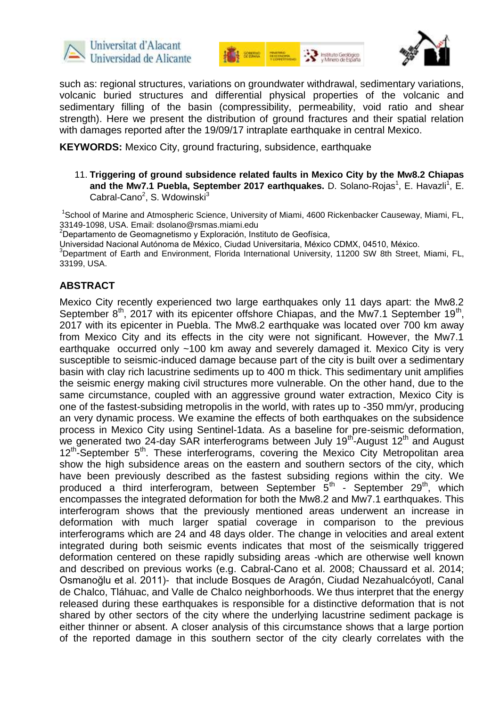





such as: regional structures, variations on groundwater withdrawal, sedimentary variations, volcanic buried structures and differential physical properties of the volcanic and sedimentary filling of the basin (compressibility, permeability, void ratio and shear strength). Here we present the distribution of ground fractures and their spatial relation with damages reported after the 19/09/17 intraplate earthquake in central Mexico.

**KEYWORDS:** Mexico City, ground fracturing, subsidence, earthquake

11. **Triggering of ground subsidence related faults in Mexico City by the Mw8.2 Chiapas**  and the Mw7.1 Puebla, September 2017 earthquakes. D. Solano-Rojas<sup>1</sup>, E. Havazli<sup>1</sup>, E. Cabral-Cano<sup>2</sup>, S. Wdowinski<sup>3</sup>

<sup>1</sup>School of Marine and Atmospheric Science, University of Miami, 4600 Rickenbacker Causeway, Miami, FL, 33149-1098, USA. Email: dsolano@rsmas.miami.edu

<sup>2</sup>Departamento de Geomagnetismo y Exploración, Instituto de Geofísica,

Universidad Nacional Autónoma de México, Ciudad Universitaria, México CDMX, 04510, México.

<sup>3</sup>Department of Earth and Environment, Florida International University, 11200 SW 8th Street, Miami, FL, 33199, USA.

#### **ABSTRACT**

Mexico City recently experienced two large earthquakes only 11 days apart: the Mw8.2 September  $8^{th}$ , 2017 with its epicenter offshore Chiapas, and the Mw7.1 September 19<sup>th</sup>, 2017 with its epicenter in Puebla. The Mw8.2 earthquake was located over 700 km away from Mexico City and its effects in the city were not significant. However, the Mw7.1 earthquake occurred only ~100 km away and severely damaged it. Mexico City is very susceptible to seismic-induced damage because part of the city is built over a sedimentary basin with clay rich lacustrine sediments up to 400 m thick. This sedimentary unit amplifies the seismic energy making civil structures more vulnerable. On the other hand, due to the same circumstance, coupled with an aggressive ground water extraction, Mexico City is one of the fastest-subsiding metropolis in the world, with rates up to -350 mm/yr, producing an very dynamic process. We examine the effects of both earthquakes on the subsidence process in Mexico City using Sentinel-1data. As a baseline for pre-seismic deformation, we generated two 24-day SAR interferograms between July 19<sup>th</sup>-August 12<sup>th</sup> and August 12<sup>th</sup>-September 5<sup>th</sup>. These interferograms, covering the Mexico City Metropolitan area show the high subsidence areas on the eastern and southern sectors of the city, which have been previously described as the fastest subsiding regions within the city. We produced a third interferogram, between September  $\bar{5}^{th}$  - September 29<sup>th</sup>, which encompasses the integrated deformation for both the Mw8.2 and Mw7.1 earthquakes. This interferogram shows that the previously mentioned areas underwent an increase in deformation with much larger spatial coverage in comparison to the previous interferograms which are 24 and 48 days older. The change in velocities and areal extent integrated during both seismic events indicates that most of the seismically triggered deformation centered on these rapidly subsiding areas -which are otherwise well known and described on previous works (e.g. Cabral-Cano et al. 2008; Chaussard et al. 2014; Osmanoğlu et al. 2011)- that include Bosques de Aragón, Ciudad Nezahualcóyotl, Canal de Chalco, Tláhuac, and Valle de Chalco neighborhoods. We thus interpret that the energy released during these earthquakes is responsible for a distinctive deformation that is not shared by other sectors of the city where the underlying lacustrine sediment package is either thinner or absent. A closer analysis of this circumstance shows that a large portion of the reported damage in this southern sector of the city clearly correlates with the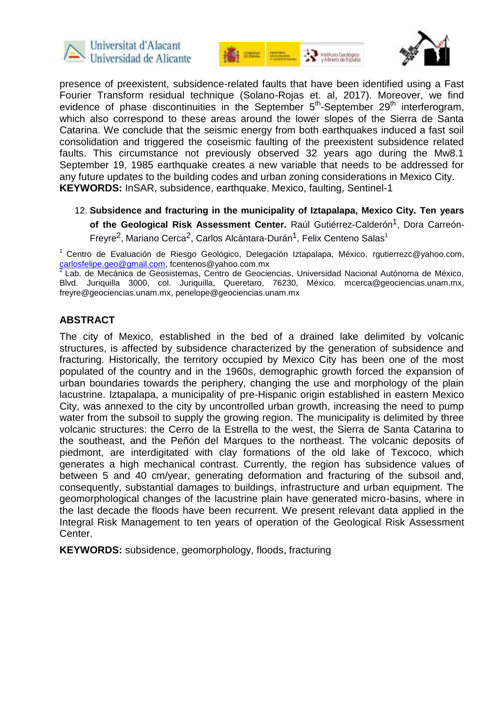





presence of preexistent, subsidence-related faults that have been identified using a Fast Fourier Transform residual technique (Solano-Rojas et. al, 2017). Moreover, we find evidence of phase discontinuities in the September  $5<sup>th</sup>$ -September 29<sup>th</sup> interferogram, which also correspond to these areas around the lower slopes of the Sierra de Santa Catarina. We conclude that the seismic energy from both earthquakes induced a fast soil consolidation and triggered the coseismic faulting of the preexistent subsidence related faults. This circumstance not previously observed 32 years ago during the Mw8.1 September 19, 1985 earthquake creates a new variable that needs to be addressed for any future updates to the building codes and urban zoning considerations in Mexico City. **KEYWORDS:** InSAR, subsidence, earthquake, Mexico, faulting, Sentinel-1

12. **Subsidence and fracturing in the municipality of Iztapalapa, Mexico City. Ten years**  of the Geological Risk Assessment Center. Raúl Gutiérrez-Calderón<sup>1</sup>, Dora Carreón-Freyre<sup>2</sup>, Mariano Cerca<sup>2</sup>, Carlos Alcántara-Durán<sup>1</sup>, Felix Centeno Salas<sup>1</sup>

<sup>1</sup> Centro de Evaluación de Riesgo Geológico, Delegación Iztapalapa, México, [rgutierrezc@yahoo.com,](mailto:rgutierrezc@yahoo.com) [carlosfelipe.geo@gmail.com,](mailto:carlosfelipe.geo@gmail.com) fcentenos@yahoo.com.mx

<sup>2</sup>Lab. de Mecánica de Geosistemas, Centro de Geociencias, Universidad Nacional Autónoma de México, Blvd. Juriquilla 3000, col. Juriquilla, Queretaro, 76230, México. [mcerca@geociencias.unam.mx,](mailto:mcerca@geociencias.unam.mx) [freyre@geociencias.unam.mx,](mailto:freyre@geociencias.unam.mx) penelope@geociencias.unam.mx

## **ABSTRACT**

The city of Mexico, established in the bed of a drained lake delimited by volcanic structures, is affected by subsidence characterized by the generation of subsidence and fracturing. Historically, the territory occupied by Mexico City has been one of the most populated of the country and in the 1960s, demographic growth forced the expansion of urban boundaries towards the periphery, changing the use and morphology of the plain lacustrine. Iztapalapa, a municipality of pre-Hispanic origin established in eastern Mexico City, was annexed to the city by uncontrolled urban growth, increasing the need to pump water from the subsoil to supply the growing region. The municipality is delimited by three volcanic structures: the Cerro de la Estrella to the west, the Sierra de Santa Catarina to the southeast, and the Peñón del Marques to the northeast. The volcanic deposits of piedmont, are interdigitated with clay formations of the old lake of Texcoco, which generates a high mechanical contrast. Currently, the region has subsidence values of between 5 and 40 cm/year, generating deformation and fracturing of the subsoil and, consequently, substantial damages to buildings, infrastructure and urban equipment. The geomorphological changes of the lacustrine plain have generated micro-basins, where in the last decade the floods have been recurrent. We present relevant data applied in the Integral Risk Management to ten years of operation of the Geological Risk Assessment Center.

**KEYWORDS:** subsidence, geomorphology, floods, fracturing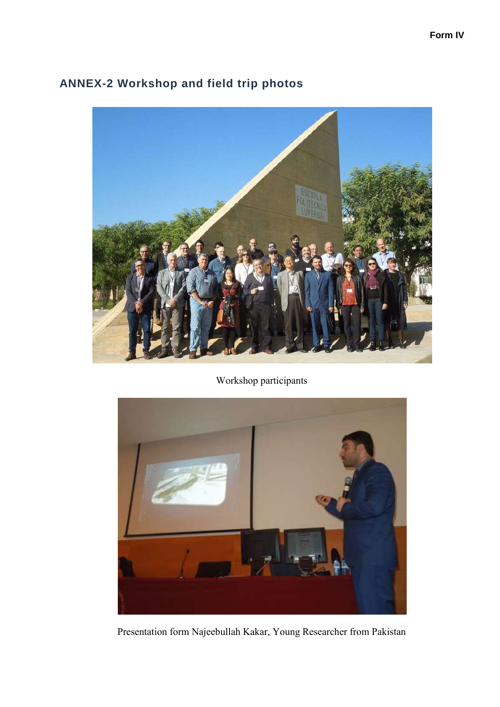

## **ANNEX-2 Workshop and field trip photos**

Workshop participants



Presentation form Najeebullah Kakar, Young Researcher from Pakistan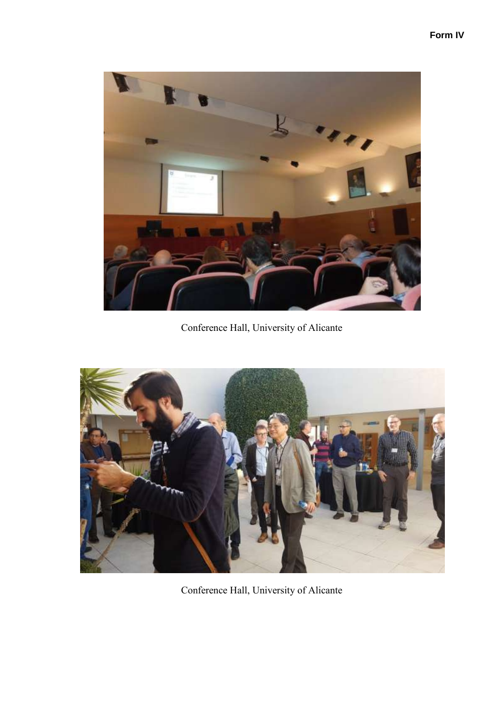

Conference Hall, University of Alicante



Conference Hall, University of Alicante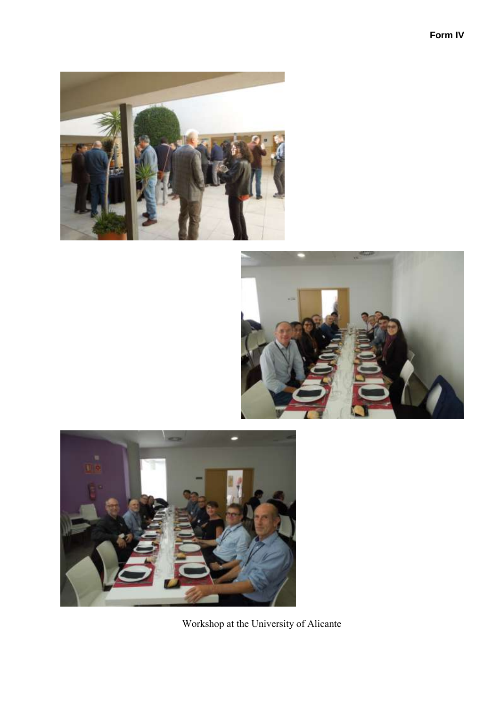







Workshop at the University of Alicante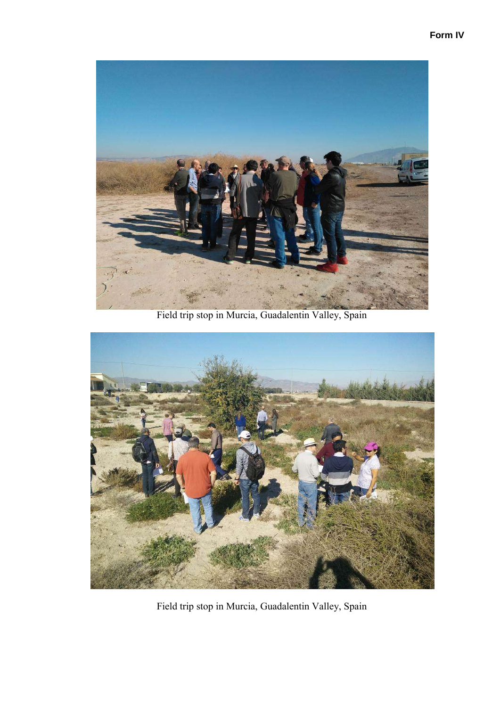

Field trip stop in Murcia, Guadalentin Valley, Spain



Field trip stop in Murcia, Guadalentin Valley, Spain